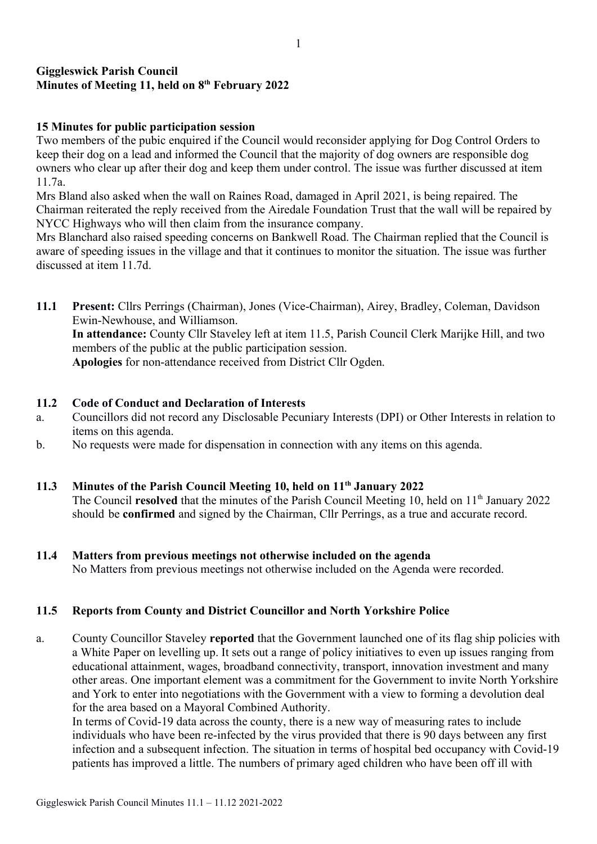## Giggleswick Parish Council Minutes of Meeting 11, held on 8<sup>th</sup> February 2022

## 15 Minutes for public participation session

Two members of the pubic enquired if the Council would reconsider applying for Dog Control Orders to keep their dog on a lead and informed the Council that the majority of dog owners are responsible dog owners who clear up after their dog and keep them under control. The issue was further discussed at item 11.7a.

Mrs Bland also asked when the wall on Raines Road, damaged in April 2021, is being repaired. The Chairman reiterated the reply received from the Airedale Foundation Trust that the wall will be repaired by NYCC Highways who will then claim from the insurance company.

Mrs Blanchard also raised speeding concerns on Bankwell Road. The Chairman replied that the Council is aware of speeding issues in the village and that it continues to monitor the situation. The issue was further discussed at item 11.7d.

11.1 Present: Cllrs Perrings (Chairman), Jones (Vice-Chairman), Airey, Bradley, Coleman, Davidson Ewin-Newhouse, and Williamson. In attendance: County Cllr Staveley left at item 11.5, Parish Council Clerk Marijke Hill, and two members of the public at the public participation session. Apologies for non-attendance received from District Cllr Ogden.

### 11.2 Code of Conduct and Declaration of Interests

- a. Councillors did not record any Disclosable Pecuniary Interests (DPI) or Other Interests in relation to items on this agenda.
- b. No requests were made for dispensation in connection with any items on this agenda.

## 11.3 Minutes of the Parish Council Meeting 10, held on 11<sup>th</sup> January 2022

The Council **resolved** that the minutes of the Parish Council Meeting 10, held on 11<sup>th</sup> January 2022 should be confirmed and signed by the Chairman, Cllr Perrings, as a true and accurate record.

11.4 Matters from previous meetings not otherwise included on the agenda No Matters from previous meetings not otherwise included on the Agenda were recorded.

## 11.5 Reports from County and District Councillor and North Yorkshire Police

a. County Councillor Staveley reported that the Government launched one of its flag ship policies with a White Paper on levelling up. It sets out a range of policy initiatives to even up issues ranging from educational attainment, wages, broadband connectivity, transport, innovation investment and many other areas. One important element was a commitment for the Government to invite North Yorkshire and York to enter into negotiations with the Government with a view to forming a devolution deal for the area based on a Mayoral Combined Authority.

In terms of Covid-19 data across the county, there is a new way of measuring rates to include individuals who have been re-infected by the virus provided that there is 90 days between any first infection and a subsequent infection. The situation in terms of hospital bed occupancy with Covid-19 patients has improved a little. The numbers of primary aged children who have been off ill with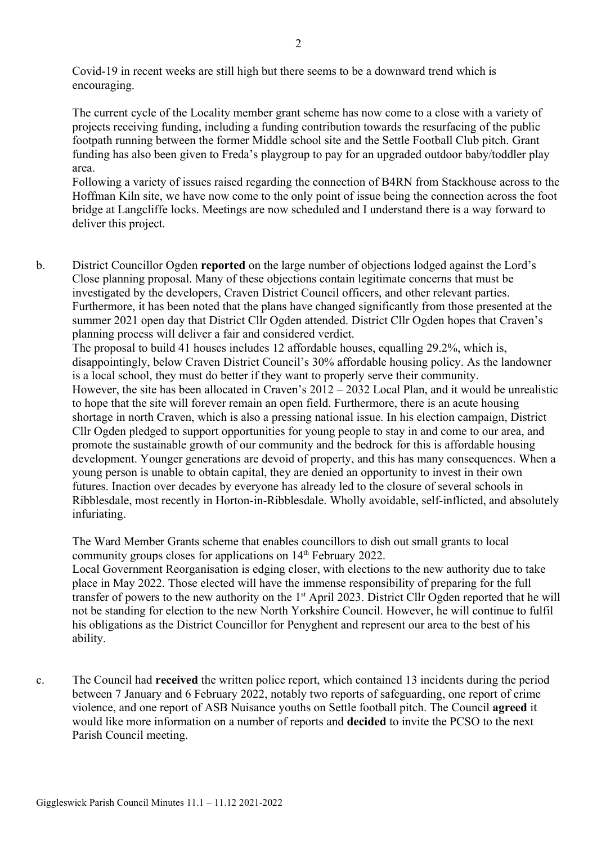Covid-19 in recent weeks are still high but there seems to be a downward trend which is encouraging.

The current cycle of the Locality member grant scheme has now come to a close with a variety of projects receiving funding, including a funding contribution towards the resurfacing of the public footpath running between the former Middle school site and the Settle Football Club pitch. Grant funding has also been given to Freda's playgroup to pay for an upgraded outdoor baby/toddler play area.

Following a variety of issues raised regarding the connection of B4RN from Stackhouse across to the Hoffman Kiln site, we have now come to the only point of issue being the connection across the foot bridge at Langcliffe locks. Meetings are now scheduled and I understand there is a way forward to deliver this project.

b. District Councillor Ogden reported on the large number of objections lodged against the Lord's Close planning proposal. Many of these objections contain legitimate concerns that must be investigated by the developers, Craven District Council officers, and other relevant parties. Furthermore, it has been noted that the plans have changed significantly from those presented at the summer 2021 open day that District Cllr Ogden attended. District Cllr Ogden hopes that Craven's planning process will deliver a fair and considered verdict.

The proposal to build 41 houses includes 12 affordable houses, equalling 29.2%, which is, disappointingly, below Craven District Council's 30% affordable housing policy. As the landowner is a local school, they must do better if they want to properly serve their community. However, the site has been allocated in Craven's 2012 – 2032 Local Plan, and it would be unrealistic to hope that the site will forever remain an open field. Furthermore, there is an acute housing shortage in north Craven, which is also a pressing national issue. In his election campaign, District Cllr Ogden pledged to support opportunities for young people to stay in and come to our area, and promote the sustainable growth of our community and the bedrock for this is affordable housing development. Younger generations are devoid of property, and this has many consequences. When a young person is unable to obtain capital, they are denied an opportunity to invest in their own futures. Inaction over decades by everyone has already led to the closure of several schools in Ribblesdale, most recently in Horton-in-Ribblesdale. Wholly avoidable, self-inflicted, and absolutely infuriating.

The Ward Member Grants scheme that enables councillors to dish out small grants to local community groups closes for applications on 14<sup>th</sup> February 2022.

Local Government Reorganisation is edging closer, with elections to the new authority due to take place in May 2022. Those elected will have the immense responsibility of preparing for the full transfer of powers to the new authority on the 1<sup>st</sup> April 2023. District Cllr Ogden reported that he will not be standing for election to the new North Yorkshire Council. However, he will continue to fulfil his obligations as the District Councillor for Penyghent and represent our area to the best of his ability.

c. The Council had received the written police report, which contained 13 incidents during the period between 7 January and 6 February 2022, notably two reports of safeguarding, one report of crime violence, and one report of ASB Nuisance youths on Settle football pitch. The Council agreed it would like more information on a number of reports and decided to invite the PCSO to the next Parish Council meeting.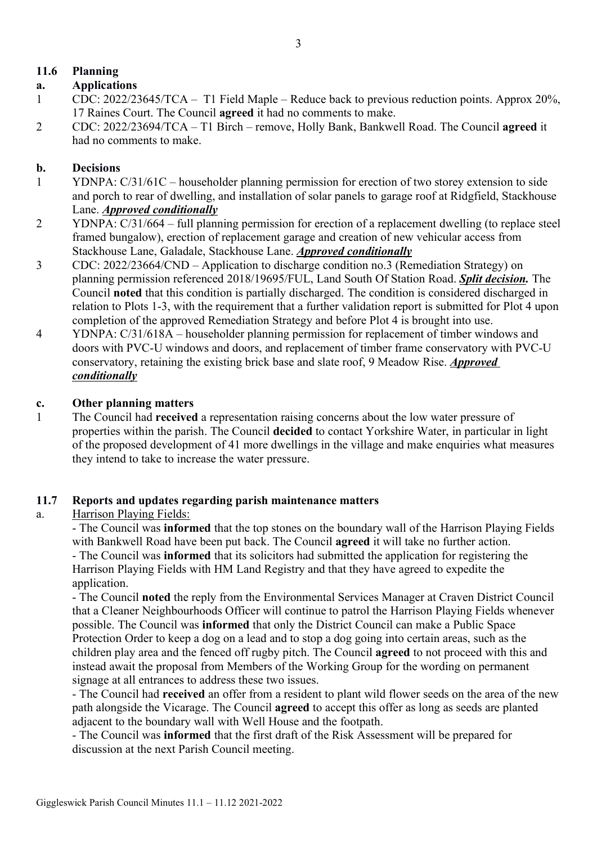# 11.6 Planning

## a. Applications

- 1 CDC: 2022/23645/TCA T1 Field Maple Reduce back to previous reduction points. Approx 20%, 17 Raines Court. The Council agreed it had no comments to make.
- 2 CDC: 2022/23694/TCA T1 Birch remove, Holly Bank, Bankwell Road. The Council agreed it had no comments to make.

### b. Decisions

- 1 YDNPA: C/31/61C householder planning permission for erection of two storey extension to side and porch to rear of dwelling, and installation of solar panels to garage roof at Ridgfield, Stackhouse Lane. *Approved conditionally*
- 2 YDNPA: C/31/664 full planning permission for erection of a replacement dwelling (to replace steel framed bungalow), erection of replacement garage and creation of new vehicular access from Stackhouse Lane, Galadale, Stackhouse Lane. Approved conditionally
- 3 CDC: 2022/23664/CND Application to discharge condition no.3 (Remediation Strategy) on planning permission referenced 2018/19695/FUL, Land South Of Station Road. Split decision. The Council noted that this condition is partially discharged. The condition is considered discharged in relation to Plots 1-3, with the requirement that a further validation report is submitted for Plot 4 upon completion of the approved Remediation Strategy and before Plot 4 is brought into use.
- 4 YDNPA: C/31/618A householder planning permission for replacement of timber windows and doors with PVC-U windows and doors, and replacement of timber frame conservatory with PVC-U conservatory, retaining the existing brick base and slate roof, 9 Meadow Rise. Approved conditionally

### c. Other planning matters

1 The Council had received a representation raising concerns about the low water pressure of properties within the parish. The Council decided to contact Yorkshire Water, in particular in light of the proposed development of 41 more dwellings in the village and make enquiries what measures they intend to take to increase the water pressure.

#### 11.7 Reports and updates regarding parish maintenance matters

## a. Harrison Playing Fields:

- The Council was informed that the top stones on the boundary wall of the Harrison Playing Fields with Bankwell Road have been put back. The Council agreed it will take no further action. - The Council was informed that its solicitors had submitted the application for registering the Harrison Playing Fields with HM Land Registry and that they have agreed to expedite the application.

- The Council noted the reply from the Environmental Services Manager at Craven District Council that a Cleaner Neighbourhoods Officer will continue to patrol the Harrison Playing Fields whenever possible. The Council was informed that only the District Council can make a Public Space Protection Order to keep a dog on a lead and to stop a dog going into certain areas, such as the children play area and the fenced off rugby pitch. The Council agreed to not proceed with this and instead await the proposal from Members of the Working Group for the wording on permanent signage at all entrances to address these two issues.

- The Council had received an offer from a resident to plant wild flower seeds on the area of the new path alongside the Vicarage. The Council agreed to accept this offer as long as seeds are planted adjacent to the boundary wall with Well House and the footpath.

- The Council was informed that the first draft of the Risk Assessment will be prepared for discussion at the next Parish Council meeting.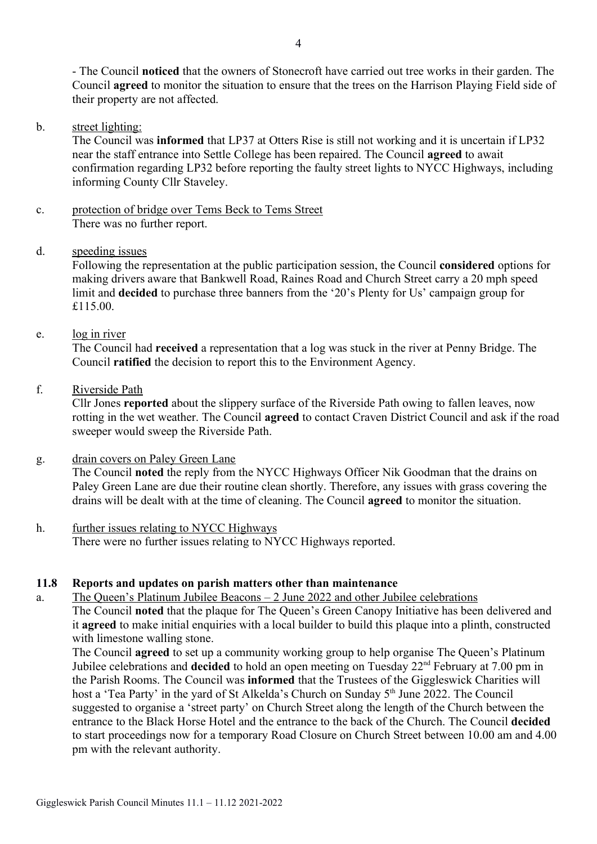- The Council noticed that the owners of Stonecroft have carried out tree works in their garden. The Council agreed to monitor the situation to ensure that the trees on the Harrison Playing Field side of their property are not affected.

b. street lighting:

The Council was informed that LP37 at Otters Rise is still not working and it is uncertain if LP32 near the staff entrance into Settle College has been repaired. The Council agreed to await confirmation regarding LP32 before reporting the faulty street lights to NYCC Highways, including informing County Cllr Staveley.

- c. protection of bridge over Tems Beck to Tems Street There was no further report.
- d. speeding issues

Following the representation at the public participation session, the Council considered options for making drivers aware that Bankwell Road, Raines Road and Church Street carry a 20 mph speed limit and decided to purchase three banners from the '20's Plenty for Us' campaign group for £115.00.

e. log in river

The Council had received a representation that a log was stuck in the river at Penny Bridge. The Council ratified the decision to report this to the Environment Agency.

f. Riverside Path

Cllr Jones reported about the slippery surface of the Riverside Path owing to fallen leaves, now rotting in the wet weather. The Council agreed to contact Craven District Council and ask if the road sweeper would sweep the Riverside Path.

g. drain covers on Paley Green Lane

The Council noted the reply from the NYCC Highways Officer Nik Goodman that the drains on Paley Green Lane are due their routine clean shortly. Therefore, any issues with grass covering the drains will be dealt with at the time of cleaning. The Council agreed to monitor the situation.

h. further issues relating to NYCC Highways There were no further issues relating to NYCC Highways reported.

#### 11.8 Reports and updates on parish matters other than maintenance

a. The Queen's Platinum Jubilee Beacons – 2 June 2022 and other Jubilee celebrations The Council noted that the plaque for The Queen's Green Canopy Initiative has been delivered and it agreed to make initial enquiries with a local builder to build this plaque into a plinth, constructed with limestone walling stone.

The Council agreed to set up a community working group to help organise The Queen's Platinum Jubilee celebrations and **decided** to hold an open meeting on Tuesday 22<sup>nd</sup> February at 7.00 pm in the Parish Rooms. The Council was informed that the Trustees of the Giggleswick Charities will host a 'Tea Party' in the yard of St Alkelda's Church on Sunday 5<sup>th</sup> June 2022. The Council suggested to organise a 'street party' on Church Street along the length of the Church between the entrance to the Black Horse Hotel and the entrance to the back of the Church. The Council decided to start proceedings now for a temporary Road Closure on Church Street between 10.00 am and 4.00 pm with the relevant authority.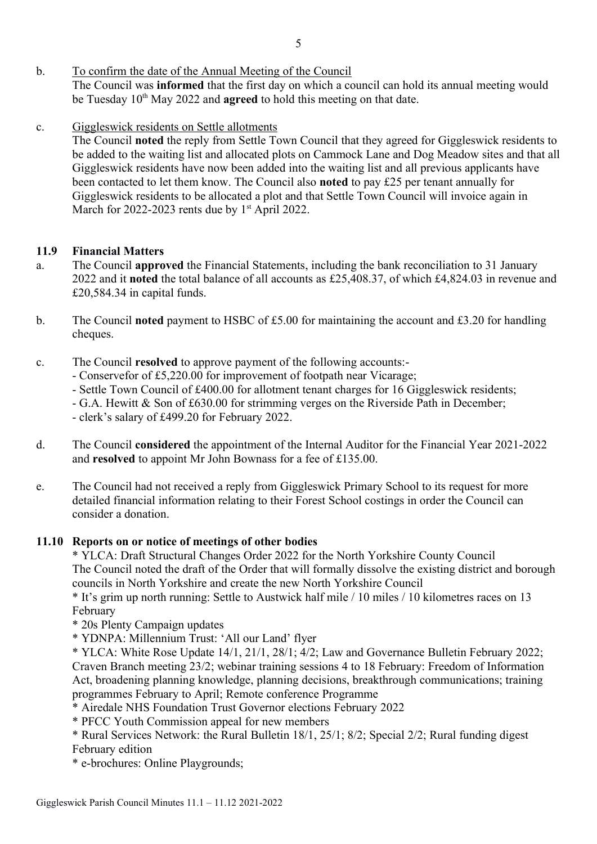- b. To confirm the date of the Annual Meeting of the Council The Council was informed that the first day on which a council can hold its annual meeting would be Tuesday  $10<sup>th</sup>$  May 2022 and **agreed** to hold this meeting on that date.
- c. Giggleswick residents on Settle allotments

The Council noted the reply from Settle Town Council that they agreed for Giggleswick residents to be added to the waiting list and allocated plots on Cammock Lane and Dog Meadow sites and that all Giggleswick residents have now been added into the waiting list and all previous applicants have been contacted to let them know. The Council also noted to pay £25 per tenant annually for Giggleswick residents to be allocated a plot and that Settle Town Council will invoice again in March for 2022-2023 rents due by  $1<sup>st</sup>$  April 2022.

## 11.9 Financial Matters

- a. The Council approved the Financial Statements, including the bank reconciliation to 31 January 2022 and it noted the total balance of all accounts as £25,408.37, of which £4,824.03 in revenue and £20,584.34 in capital funds.
- b. The Council **noted** payment to HSBC of £5.00 for maintaining the account and £3.20 for handling cheques.
- c. The Council resolved to approve payment of the following accounts:-
	- Conservefor of £5,220.00 for improvement of footpath near Vicarage;
	- Settle Town Council of £400.00 for allotment tenant charges for 16 Giggleswick residents;
	- G.A. Hewitt & Son of £630.00 for strimming verges on the Riverside Path in December;
	- clerk's salary of £499.20 for February 2022.
- d. The Council considered the appointment of the Internal Auditor for the Financial Year 2021-2022 and resolved to appoint Mr John Bownass for a fee of £135.00.
- e. The Council had not received a reply from Giggleswick Primary School to its request for more detailed financial information relating to their Forest School costings in order the Council can consider a donation.

## 11.10 Reports on or notice of meetings of other bodies

\* YLCA: Draft Structural Changes Order 2022 for the North Yorkshire County Council The Council noted the draft of the Order that will formally dissolve the existing district and borough councils in North Yorkshire and create the new North Yorkshire Council

\* It's grim up north running: Settle to Austwick half mile / 10 miles / 10 kilometres races on 13 February

\* 20s Plenty Campaign updates

\* YDNPA: Millennium Trust: 'All our Land' flyer

\* YLCA: White Rose Update 14/1, 21/1, 28/1; 4/2; Law and Governance Bulletin February 2022; Craven Branch meeting 23/2; webinar training sessions 4 to 18 February: Freedom of Information Act, broadening planning knowledge, planning decisions, breakthrough communications; training programmes February to April; Remote conference Programme

- \* Airedale NHS Foundation Trust Governor elections February 2022
- \* PFCC Youth Commission appeal for new members

\* Rural Services Network: the Rural Bulletin 18/1, 25/1; 8/2; Special 2/2; Rural funding digest February edition

\* e-brochures: Online Playgrounds;